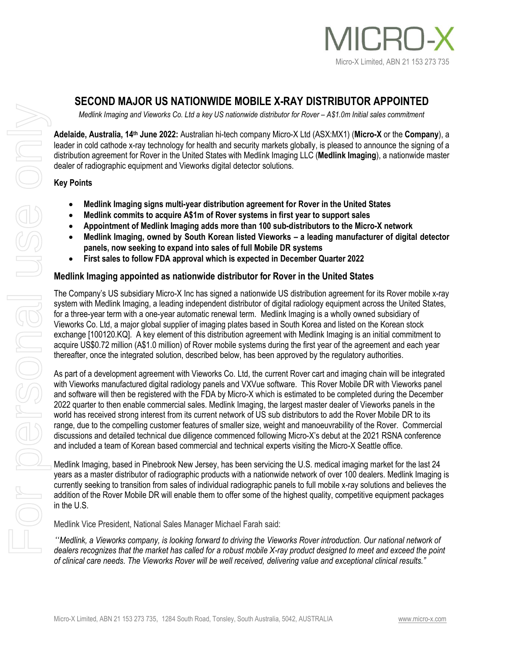

# **SECOND MAJOR US NATIONWIDE MOBILE X-RAY DISTRIBUTOR APPOINTED**

*Medlink Imaging and Vieworks Co. Ltd a key US nationwide distributor for Rover – A\$1.0m Initial sales commitment*

**Adelaide, Australia, 14th June 2022:** Australian hi-tech company Micro-X Ltd (ASX:MX1) (**Micro-X** or the **Company**), a leader in cold cathode x-ray technology for health and security markets globally, is pleased to announce the signing of a distribution agreement for Rover in the United States with Medlink Imaging LLC (**Medlink Imaging**), a nationwide master dealer of radiographic equipment and Vieworks digital detector solutions.

## **Key Points**

- **Medlink Imaging signs multi-year distribution agreement for Rover in the United States**
- **Medlink commits to acquire A\$1m of Rover systems in first year to support sales**
- **Appointment of Medlink Imaging adds more than 100 sub-distributors to the Micro-X network**
- **Medlink Imaging, owned by South Korean listed Vieworks – a leading manufacturer of digital detector panels, now seeking to expand into sales of full Mobile DR systems**
- **First sales to follow FDA approval which is expected in December Quarter 2022**

## **Medlink Imaging appointed as nationwide distributor for Rover in the United States**

The Company's US subsidiary Micro-X Inc has signed a nationwide US distribution agreement for its Rover mobile x-ray system with Medlink Imaging, a leading independent distributor of digital radiology equipment across the United States, for a three-year term with a one-year automatic renewal term. Medlink Imaging is a wholly owned subsidiary of Vieworks Co. Ltd, a major global supplier of imaging plates based in South Korea and listed on the Korean stock exchange [100120.KQ]. A key element of this distribution agreement with Medlink Imaging is an initial commitment to acquire US\$0.72 million (A\$1.0 million) of Rover mobile systems during the first year of the agreement and each year thereafter, once the integrated solution, described below, has been approved by the regulatory authorities.

As part of a development agreement with Vieworks Co. Ltd, the current Rover cart and imaging chain will be integrated with Vieworks manufactured digital radiology panels and VXVue software. This Rover Mobile DR with Vieworks panel and software will then be registered with the FDA by Micro-X which is estimated to be completed during the December 2022 quarter to then enable commercial sales. Medlink Imaging, the largest master dealer of Vieworks panels in the world has received strong interest from its current network of US sub distributors to add the Rover Mobile DR to its range, due to the compelling customer features of smaller size, weight and manoeuvrability of the Rover. Commercial discussions and detailed technical due diligence commenced following Micro-X's debut at the 2021 RSNA conference and included a team of Korean based commercial and technical experts visiting the Micro-X Seattle office.

Medlink Imaging, based in Pinebrook New Jersey, has been servicing the U.S. medical imaging market for the last 24 years as a master distributor of radiographic products with a nationwide network of over 100 dealers. Medlink Imaging is currently seeking to transition from sales of individual radiographic panels to full mobile x-ray solutions and believes the addition of the Rover Mobile DR will enable them to offer some of the highest quality, competitive equipment packages in the U.S.

Medlink Vice President, National Sales Manager Michael Farah said:

*"Medlink, a Vieworks company, is looking forward to driving the Vieworks Rover introduction. Our national network of dealers recognizes that the market has called for a robust mobile X-ray product designed to meet and exceed the point of clinical care needs. The Vieworks Rover will be well received, delivering value and exceptional clinical results."*